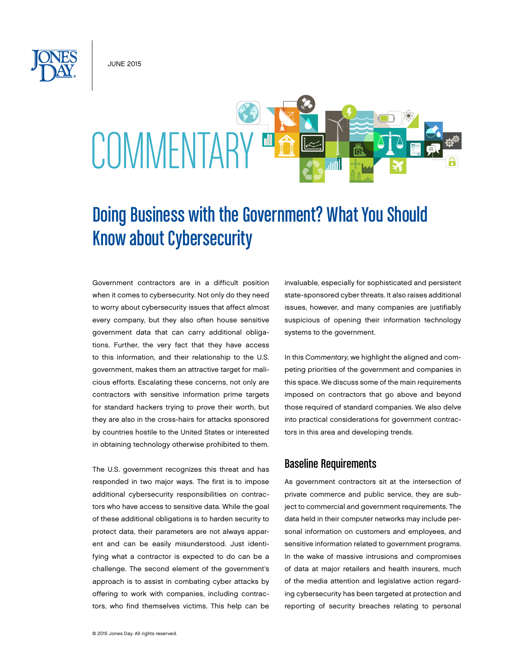JUNE 2015

# COMMENTARY E

# Doing Business with the Government? What You Should Know about Cybersecurity

Government contractors are in a difficult position when it comes to cybersecurity. Not only do they need to worry about cybersecurity issues that affect almost every company, but they also often house sensitive government data that can carry additional obligations. Further, the very fact that they have access to this information, and their relationship to the U.S. government, makes them an attractive target for malicious efforts. Escalating these concerns, not only are contractors with sensitive information prime targets for standard hackers trying to prove their worth, but they are also in the cross-hairs for attacks sponsored by countries hostile to the United States or interested in obtaining technology otherwise prohibited to them.

The U.S. government recognizes this threat and has responded in two major ways. The first is to impose additional cybersecurity responsibilities on contractors who have access to sensitive data. While the goal of these additional obligations is to harden security to protect data, their parameters are not always apparent and can be easily misunderstood. Just identifying what a contractor is expected to do can be a challenge. The second element of the government's approach is to assist in combating cyber attacks by offering to work with companies, including contractors, who find themselves victims. This help can be invaluable, especially for sophisticated and persistent state-sponsored cyber threats. It also raises additional issues, however, and many companies are justifiably suspicious of opening their information technology systems to the government.

In this *Commentary*, we highlight the aligned and competing priorities of the government and companies in this space. We discuss some of the main requirements imposed on contractors that go above and beyond those required of standard companies. We also delve into practical considerations for government contractors in this area and developing trends.

# Baseline Requirements

As government contractors sit at the intersection of private commerce and public service, they are subject to commercial and government requirements. The data held in their computer networks may include personal information on customers and employees, and sensitive information related to government programs. In the wake of massive intrusions and compromises of data at major retailers and health insurers, much of the media attention and legislative action regarding cybersecurity has been targeted at protection and reporting of security breaches relating to personal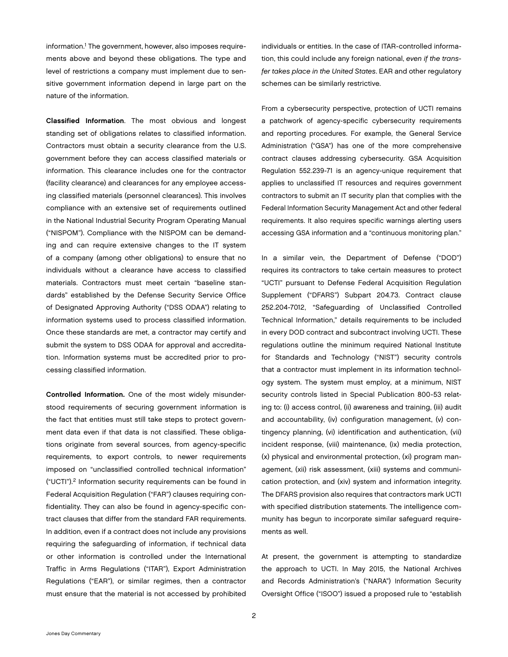information.<sup>1</sup> The government, however, also imposes requirements above and beyond these obligations. The type and level of restrictions a company must implement due to sensitive government information depend in large part on the nature of the information.

Classified Information. The most obvious and longest standing set of obligations relates to classified information. Contractors must obtain a security clearance from the U.S. government before they can access classified materials or information. This clearance includes one for the contractor (facility clearance) and clearances for any employee accessing classified materials (personnel clearances). This involves compliance with an extensive set of requirements outlined in the National Industrial Security Program Operating Manual ("NISPOM"). Compliance with the NISPOM can be demanding and can require extensive changes to the IT system of a company (among other obligations) to ensure that no individuals without a clearance have access to classified materials. Contractors must meet certain "baseline standards" established by the Defense Security Service Office of Designated Approving Authority ("DSS ODAA") relating to information systems used to process classified information. Once these standards are met, a contractor may certify and submit the system to DSS ODAA for approval and accreditation. Information systems must be accredited prior to processing classified information.

Controlled Information. One of the most widely misunderstood requirements of securing government information is the fact that entities must still take steps to protect government data even if that data is not classified. These obligations originate from several sources, from agency-specific requirements, to export controls, to newer requirements imposed on "unclassified controlled technical information" ("UCTI").2 Information security requirements can be found in Federal Acquisition Regulation ("FAR") clauses requiring confidentiality. They can also be found in agency-specific contract clauses that differ from the standard FAR requirements. In addition, even if a contract does not include any provisions requiring the safeguarding of information, if technical data or other information is controlled under the International Traffic in Arms Regulations ("ITAR"), Export Administration Regulations ("EAR"), or similar regimes, then a contractor must ensure that the material is not accessed by prohibited

individuals or entities. In the case of ITAR-controlled information, this could include any foreign national, *even if the transfer takes place in the United States*. EAR and other regulatory schemes can be similarly restrictive.

From a cybersecurity perspective, protection of UCTI remains a patchwork of agency-specific cybersecurity requirements and reporting procedures. For example, the General Service Administration ("GSA") has one of the more comprehensive contract clauses addressing cybersecurity. GSA Acquisition Regulation 552.239-71 is an agency-unique requirement that applies to unclassified IT resources and requires government contractors to submit an IT security plan that complies with the Federal Information Security Management Act and other federal requirements. It also requires specific warnings alerting users accessing GSA information and a "continuous monitoring plan."

In a similar vein, the Department of Defense ("DOD") requires its contractors to take certain measures to protect "UCTI" pursuant to Defense Federal Acquisition Regulation Supplement ("DFARS") Subpart 204.73. Contract clause 252.204-7012, "Safeguarding of Unclassified Controlled Technical Information," details requirements to be included in every DOD contract and subcontract involving UCTI. These regulations outline the minimum required National Institute for Standards and Technology ("NIST") security controls that a contractor must implement in its information technology system. The system must employ, at a minimum, NIST security controls listed in Special Publication 800-53 relating to: (i) access control, (ii) awareness and training, (iii) audit and accountability, (iv) configuration management, (v) contingency planning, (vi) identification and authentication, (vii) incident response, (viii) maintenance, (ix) media protection, (x) physical and environmental protection, (xi) program management, (xii) risk assessment, (xiii) systems and communication protection, and (xiv) system and information integrity. The DFARS provision also requires that contractors mark UCTI with specified distribution statements. The intelligence community has begun to incorporate similar safeguard requirements as well.

At present, the government is attempting to standardize the approach to UCTI. In May 2015, the National Archives and Records Administration's ("NARA") Information Security Oversight Office ("ISOO") issued a proposed rule to "establish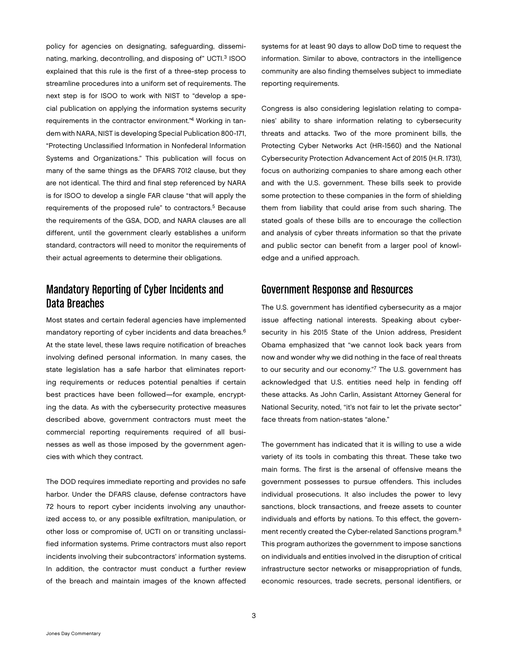policy for agencies on designating, safeguarding, disseminating, marking, decontrolling, and disposing of" UCTI.<sup>3</sup> ISOO explained that this rule is the first of a three-step process to streamline procedures into a uniform set of requirements. The next step is for ISOO to work with NIST to "develop a special publication on applying the information systems security requirements in the contractor environment."4 Working in tandem with NARA, NIST is developing Special Publication 800-171, "Protecting Unclassified Information in Nonfederal Information Systems and Organizations." This publication will focus on many of the same things as the DFARS 7012 clause, but they are not identical. The third and final step referenced by NARA is for ISOO to develop a single FAR clause "that will apply the requirements of the proposed rule" to contractors.<sup>5</sup> Because the requirements of the GSA, DOD, and NARA clauses are all different, until the government clearly establishes a uniform standard, contractors will need to monitor the requirements of their actual agreements to determine their obligations.

## Mandatory Reporting of Cyber Incidents and Data Breaches

Most states and certain federal agencies have implemented mandatory reporting of cyber incidents and data breaches.6 At the state level, these laws require notification of breaches involving defined personal information. In many cases, the state legislation has a safe harbor that eliminates reporting requirements or reduces potential penalties if certain best practices have been followed—for example, encrypting the data. As with the cybersecurity protective measures described above, government contractors must meet the commercial reporting requirements required of all businesses as well as those imposed by the government agencies with which they contract.

The DOD requires immediate reporting and provides no safe harbor. Under the DFARS clause, defense contractors have 72 hours to report cyber incidents involving any unauthorized access to, or any possible exfiltration, manipulation, or other loss or compromise of, UCTI on or transiting unclassified information systems. Prime contractors must also report incidents involving their subcontractors' information systems. In addition, the contractor must conduct a further review of the breach and maintain images of the known affected

systems for at least 90 days to allow DoD time to request the information. Similar to above, contractors in the intelligence community are also finding themselves subject to immediate reporting requirements.

Congress is also considering legislation relating to companies' ability to share information relating to cybersecurity threats and attacks. Two of the more prominent bills, the Protecting Cyber Networks Act (HR-1560) and the National Cybersecurity Protection Advancement Act of 2015 (H.R. 1731), focus on authorizing companies to share among each other and with the U.S. government. These bills seek to provide some protection to these companies in the form of shielding them from liability that could arise from such sharing. The stated goals of these bills are to encourage the collection and analysis of cyber threats information so that the private and public sector can benefit from a larger pool of knowledge and a unified approach.

#### Government Response and Resources

The U.S. government has identified cybersecurity as a major issue affecting national interests. Speaking about cybersecurity in his 2015 State of the Union address, President Obama emphasized that "we cannot look back years from now and wonder why we did nothing in the face of real threats to our security and our economy."7 The U.S. government has acknowledged that U.S. entities need help in fending off these attacks. As John Carlin, Assistant Attorney General for National Security, noted, "it's not fair to let the private sector" face threats from nation-states "alone."

The government has indicated that it is willing to use a wide variety of its tools in combating this threat. These take two main forms. The first is the arsenal of offensive means the government possesses to pursue offenders. This includes individual prosecutions. It also includes the power to levy sanctions, block transactions, and freeze assets to counter individuals and efforts by nations. To this effect, the government recently created the Cyber-related Sanctions program.<sup>8</sup> This program authorizes the government to impose sanctions on individuals and entities involved in the disruption of critical infrastructure sector networks or misappropriation of funds, economic resources, trade secrets, personal identifiers, or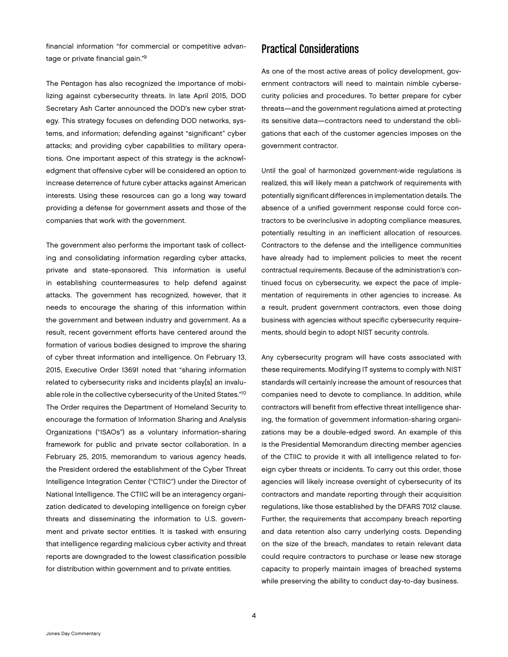financial information "for commercial or competitive advantage or private financial gain."9

The Pentagon has also recognized the importance of mobilizing against cybersecurity threats. In late April 2015, DOD Secretary Ash Carter announced the DOD's new cyber strategy. This strategy focuses on defending DOD networks, systems, and information; defending against "significant" cyber attacks; and providing cyber capabilities to military operations. One important aspect of this strategy is the acknowledgment that offensive cyber will be considered an option to increase deterrence of future cyber attacks against American interests. Using these resources can go a long way toward providing a defense for government assets and those of the companies that work with the government.

The government also performs the important task of collecting and consolidating information regarding cyber attacks, private and state-sponsored. This information is useful in establishing countermeasures to help defend against attacks. The government has recognized, however, that it needs to encourage the sharing of this information within the government and between industry and government. As a result, recent government efforts have centered around the formation of various bodies designed to improve the sharing of cyber threat information and intelligence. On February 13, 2015, Executive Order 13691 noted that "sharing information related to cybersecurity risks and incidents play[s] an invaluable role in the collective cybersecurity of the United States."10 The Order requires the Department of Homeland Security to encourage the formation of Information Sharing and Analysis Organizations ("ISAOs") as a voluntary information-sharing framework for public and private sector collaboration. In a February 25, 2015, memorandum to various agency heads, the President ordered the establishment of the Cyber Threat Intelligence Integration Center ("CTIIC") under the Director of National Intelligence. The CTIIC will be an interagency organization dedicated to developing intelligence on foreign cyber threats and disseminating the information to U.S. government and private sector entities. It is tasked with ensuring that intelligence regarding malicious cyber activity and threat reports are downgraded to the lowest classification possible for distribution within government and to private entities.

## Practical Considerations

As one of the most active areas of policy development, government contractors will need to maintain nimble cybersecurity policies and procedures. To better prepare for cyber threats—and the government regulations aimed at protecting its sensitive data—contractors need to understand the obligations that each of the customer agencies imposes on the government contractor.

Until the goal of harmonized government-wide regulations is realized, this will likely mean a patchwork of requirements with potentially significant differences in implementation details. The absence of a unified government response could force contractors to be overinclusive in adopting compliance measures, potentially resulting in an inefficient allocation of resources. Contractors to the defense and the intelligence communities have already had to implement policies to meet the recent contractual requirements. Because of the administration's continued focus on cybersecurity, we expect the pace of implementation of requirements in other agencies to increase. As a result, prudent government contractors, even those doing business with agencies without specific cybersecurity requirements, should begin to adopt NIST security controls.

Any cybersecurity program will have costs associated with these requirements. Modifying IT systems to comply with NIST standards will certainly increase the amount of resources that companies need to devote to compliance. In addition, while contractors will benefit from effective threat intelligence sharing, the formation of government information-sharing organizations may be a double-edged sword. An example of this is the Presidential Memorandum directing member agencies of the CTIIC to provide it with all intelligence related to foreign cyber threats or incidents. To carry out this order, those agencies will likely increase oversight of cybersecurity of its contractors and mandate reporting through their acquisition regulations, like those established by the DFARS 7012 clause. Further, the requirements that accompany breach reporting and data retention also carry underlying costs. Depending on the size of the breach, mandates to retain relevant data could require contractors to purchase or lease new storage capacity to properly maintain images of breached systems while preserving the ability to conduct day-to-day business.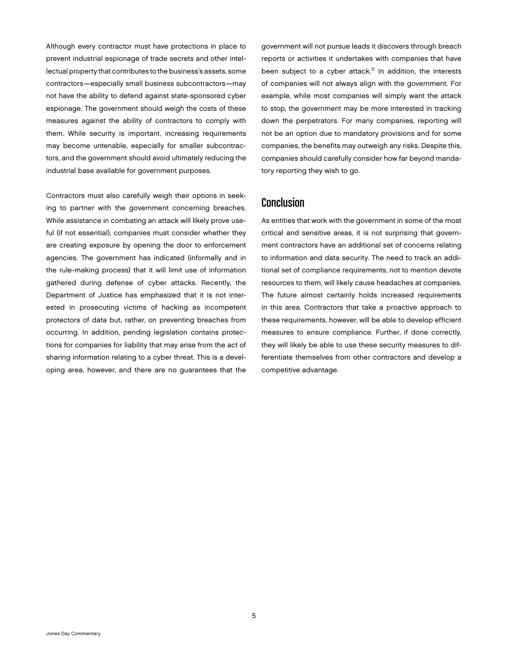Although every contractor must have protections in place to prevent industrial espionage of trade secrets and other intellectual property that contributes to the business's assets, some contractors—especially small business subcontractors—may not have the ability to defend against state-sponsored cyber espionage. The government should weigh the costs of these measures against the ability of contractors to comply with them. While security is important, increasing requirements may become untenable, especially for smaller subcontractors, and the government should avoid ultimately reducing the industrial base available for government purposes.

Contractors must also carefully weigh their options in seeking to partner with the government concerning breaches. While assistance in combating an attack will likely prove useful (if not essential), companies must consider whether they are creating exposure by opening the door to enforcement agencies. The government has indicated (informally and in the rule-making process) that it will limit use of information gathered during defense of cyber attacks. Recently, the Department of Justice has emphasized that it is not interested in prosecuting victims of hacking as incompetent protectors of data but, rather, on preventing breaches from occurring. In addition, pending legislation contains protections for companies for liability that may arise from the act of sharing information relating to a cyber threat. This is a developing area, however, and there are no guarantees that the government will not pursue leads it discovers through breach reports or activities it undertakes with companies that have been subject to a cyber attack.<sup>11</sup> In addition, the interests of companies will not always align with the government. For example, while most companies will simply want the attack to stop, the government may be more interested in tracking down the perpetrators. For many companies, reporting will not be an option due to mandatory provisions and for some companies, the benefits may outweigh any risks. Despite this, companies should carefully consider how far beyond mandatory reporting they wish to go.

#### Conclusion

As entities that work with the government in some of the most critical and sensitive areas, it is not surprising that government contractors have an additional set of concerns relating to information and data security. The need to track an additional set of compliance requirements, not to mention devote resources to them, will likely cause headaches at companies. The future almost certainly holds increased requirements in this area. Contractors that take a proactive approach to these requirements, however, will be able to develop efficient measures to ensure compliance. Further, if done correctly, they will likely be able to use these security measures to differentiate themselves from other contractors and develop a competitive advantage.